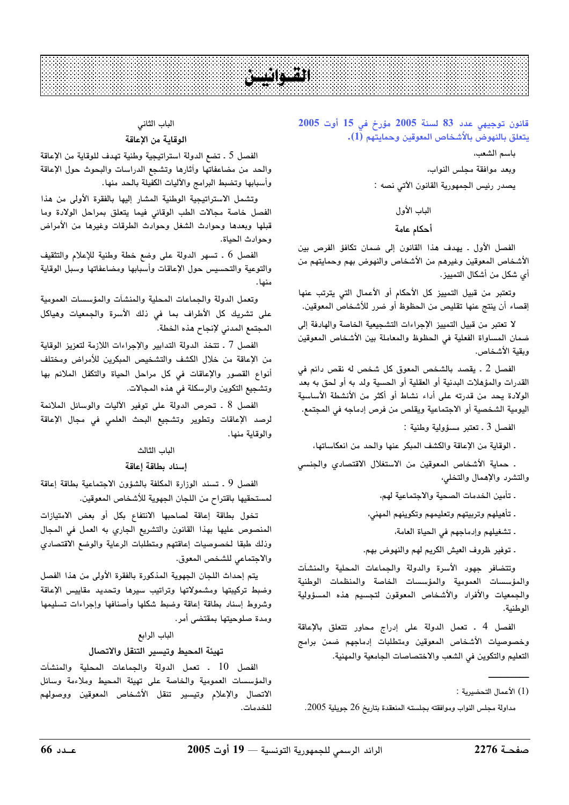# **Participant**

## قانون توجيهى عدد 83 لسنة 2005 مؤرخ فى 15 أوت 2005 يتعلق بالنهوض بالأشخاص المعوقين وحمايتهم (1).

ياسم الشعب،

وبعد موافقة مجلس النواب،

يصدر رئيس الجمهورية القانون الآتي نصه :

# الباب الأول

# أحكام عامة

الفصل الأول . يهدف هذا القانون إلى ضمان تكافؤ الفرص بين الأشخاص المعوقين وغيرهم من الأشخاص والنهوض بهم وحمايتهم من أي شكل من أشكال التمييز.

وتعتبر من قبيل التمييز كل الأحكام أو الأعمال التي يترتب عنها إقصاء أن ينتج عنها تقليص من الحظوظ أو ضرر للأشخاص المعوقين.

لا تعتبر من قبيل التمييز الإجراءات التشجيعية الخاصة والهادفة إلى ضمان المساواة الفعلية في الحظوظ والمعاملة بين الأشخاص المعوقين ويقية الأشخاص.

الفصل 2 . يقصد بالشخص المعوق كل شخص له نقص دائم في القدرات والمؤهلات البدنية أو العقلية أو الحسية ولد به أو لحق به بعد الولادة يحد من قدرته على أداء نشاط أو أكثر من الأنشطة الأساسية اليومية الشخصية أو الاجتماعية ويقلص من فرص إدماجه في المجتمع.

الفصل 3 ـ تعتبر مسؤولية وطنية :

ـ الوقاية من الإعاقة والكشف المبكر عنها والحد من انعكاساتها،

. حماية الأشخاص المعوقين من الاستغلال الاقتصادى والجنسى والتشرد والإهمال والتخلي،

. تأمين الخدمات الصحية والاجتماعية لهم،

. تأهيلهم وتربيتهم وتعليمهم وتكوينهم المهنى،

. تشغيلهم وإدماجهم في الحياة العامة،

. توفير ظروف العيش الكريم لهم والنهوض بهم.

وتتضافر جهود الأسرة والدولة والجماعات المحلية والمنشآت والمؤسسات العمومية والمؤسسات الخاصة والمنظمات الوطنية والجمعيات والأفراد والأشخاص المعوقون لتجسيم هذه المسؤولية الوطنية.

الفصل 4 ـ تعمل الدولة على إدراج محاور تتعلق بالإعاقة وخصوصيات الأشخاص المعوقين ومتطلبات إدماجهم ضمن برامج التعليم والتكوين في الشعب والاختصاصات الجامعية والمهنية.

مداولة مجلس النواب وموافقته بجلسته المنعقدة بتاريخ 26 جويلية 2005.

# الباب الثاني

# الوقاية من الإعاقة

الفصل 5 ـ تضع الدولة استراتيجية وطنية تهدف للوقاية من الإعاقة والحد من مضاعفاتها وأثارها وتشجع الدراسات والبحوث حول الإعاقة وأسبابها وتضبط البرامج والآليات الكفيلة بالحد منها.

وتشمل الاستراتيجية الوطنية المشار إليها بالفقرة الأولى من هذا الفصل خاصة مجالات الطب الوقائى فيما يتعلق بمراحل الولادة وما قبلها وبعدها وحوادث الشغل وحوادث الطرقات وغيرها من الأمراض وحوادث الحياة.

الفصل 6 ـ تسهر الدولة على وضع خطة وطنية للإعلام والتثقيف والتوعية والتحسيس حول الإعاقات وأسبابها ومضاعفاتها وسبل الوقاية  $14.5$ 

وتعمل الدولة والجماعات المحلية والمنشآت والمؤسسات العمومية على تشريك كل الأطراف بما فى ذلك الأسرة والجمعيات وهياكل المجتمع المدني لإنجاح هذه الخطة.

الفصل 7 ـ تتخذ الدولة التدابير والإجراءات اللازمة لتعزيز الوقاية من الإعاقة من خلال الكشف والتشخيص المبكرين للأمراض ومختلف أنواع القصور والإعاقات في كل مراحل الحياة والتكفل الملائم بها وتشجيع التكوين والرسكلة في هذه المجالات.

الفصل 8 . تحرص الدولة على توفير الآليات والوسائل الملائمة لرصد الإعاقات وتطوير وتشجيع البحث العلمى فى مجال الإعاقة والوقاية منها.

# الباب الثالث

# إسناد بطاقة إعاقة

الفصل 9 . تسند الوزارة المكلفة بالشؤون الاجتماعية بطاقة إعاقة لمستحقيها باقتراح من اللجان الجهوية للأشخاص المعوقين.

تخول بطاقة إعاقة لصاحبها الانتفاع بكل أو بعض الامتيازات المنصوص عليها بهذا القانون والتشريع الجاري به العمل في المجال وذلك طبقا لخصوصيات إعاقتهم ومتطلبات الرعاية والوضع الاقتصادي والاجتماعي للشخص المعوق.

يتم إحداث اللجان الجهوية المذكورة بالفقرة الأولى من هذا الفصل وضبط تركيبتها ومشمولاتها وتراتيب سيرها وتحديد مقاييس الإعاقة وشروط إسناد بطاقة إعاقة وضبط شكلها وأصنافها وإجراءات تسليمها ومدة صلوحيتها بمقتضى أمر.

# الباب الرابع

# تهيئة المحيط وتيسير التنقل والاتصال

الفصل 10 . تعمل الدولة والحماعات المحلية والمنشآت والمؤسسات العمومية والخاصة على تهيئة المحيط وملاءمة وسائل الاتصال والإعلام وتيسير تنقل الأشخاص المعوقين ووصولهم للخدمات.

<sup>(1)</sup> الأعمال التحضيرية :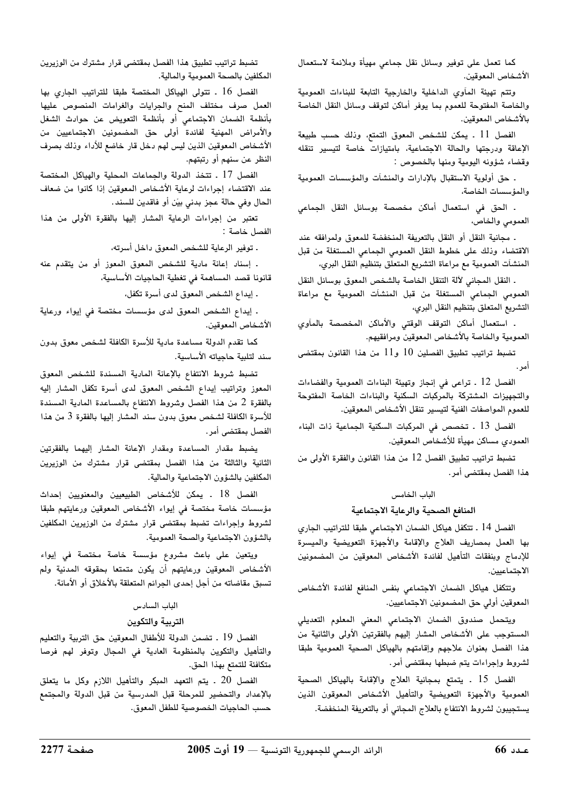كما تعمل على توفير وسائل نقل جماعى مهيأة وملائمة لاستعمال الأشخاص المعوقين.

وتتم تهيئة المآوى الداخلية والخارجية التابعة للبناءات العمومية والخاصة المفتوحة للعموم بما يوفر أماكن لتوقف وسائل النقل الخاصة بالأشخاص المعوقين.

الفصل 11 . يمكن للشخص المعوق التمتع، وذلك حسب طبيعة الإعاقة ودرجتها والحالة الاجتماعية، بامتيازات خاصة لتيسير تنقله وقضاء شؤونه اليومية ومنها بالخصوص :

. حق أولوية الاستقبال بالإدارات والمنشآت والمؤسسات العمومية والمؤسسات الخاصة،

. الحق في استعمال أماكن مخصصة بوسائل النقل الجماعي العمومي والخاص،

. مجانية النقل أو النقل بالتعريفة المنخفضة للمعوق ولمرافقه عند الاقتضاء وذلك على خطوط النقل العمومى الجماعى المستغلة من قبل المنشآت العمومية مع مراعاة التشريع المتعلق بتنظيم النقل البري،

. النقل المجاني لآلة التنقل الخاصة بالشخص المعوق بوسائل النقل العمومى الجماعى المستغلة من قبل المنشآت العمومية مع مراعاة التشريع المتعلق بتنظيم النقل البري،

. استعمال أماكن التوقف الوقتى والأماكن المخصصة بالمآوي العمومية والخاصة بالأشخاص المعوقين ومرافقيهم.

تضبط تراتيب تطبيق الفصلين 10 و11 من هذا القانون بمقتضى أمر .

الفصل 12 . تراعى في إنجاز وتهيئة البناءات العمومية والفضاءات والتجهيزات المشتركة بالمركبات السكنية والبناءات الخاصة المفتوحة للعموم المواصفات الفنية لتيسير تنقل الأشخاص المعوقين.

الفصل 13 . تخصص في المركبات السكنية الجماعية ذات البناء العمودي مساكن مهيأة للأشخاص المعوقين.

تضبط تراتيب تطبيق الفصل 12 من هذا القانون والفقرة الأولى من هذا الفصل بمقتضى أمر.

#### الباب الخامس

#### المنافع الصحية والرعاية الاجتماعية

الفصل 14 . تتكفل هياكل الضمان الاجتماعي طبقا للتراتيب الجاري بها العمل بمصاريف العلاج والإقامة والأجهزة التعويضية والميسرة للإدماج وبنفقات التأهيل لفائدة الأشخاص المعوقين من المضمونين الاحتماعيين.

وتتكفل هياكل الضمان الاجتماعي بنفس المنافع لفائدة الأشخاص المعوقين أولى حق المضمونين الاجتماعيين.

ويتحمل صندوق الضمان الاجتماعي المعني المعلوم التعديلي المستوجب على الأشخاص المشار إليهم بالفقرتين الأولى والثانية من هذا الفصل بعنوان علاجهم وإقامتهم بالهياكل الصحية العمومية طبقا لشروط وإجراءات يتم ضبطها بمقتضى أمر.

الفصل 15 . يتمتع بمجانية العلاج والإقامة بالهياكل الصحية العمومية والأجهزة التعويضية والتأهيل الأشخاص المعوقون الذين يستجيبون لشروط الانتفاع بالعلاج المجاني أو بالتعريفة المنخفضة.

تضبط تراتيب تطبيق هذا الفصل بمقتضى قرار مشترك من الوزيرين المكلفين بالصحة العمومية والمالية.

الفصل 16 . تتولى الهياكل المختصة طبقا للتراتيب الجارى بها العمل صرف مختلف المنح والجرايات والغرامات المنصوص عليها بأنظمة الضمان الاجتماعى أو بأنظمة التعويض عن حوادث الشغل والأمراض المهنية لفائدة أولى حق المضمونين الاجتماعيين من الأشخاص المعوقين الذين ليس لهم دخل قار خاضع للأداء وذلك بصرف النظر عن سنهم أو رتبتهم.

الفصل 17 . تتخذ الدولة والجماعات المحلية والهياكل المختصة عند الاقتضاء إجراءات لرعاية الأشخاص المعوقين إذا كانوا من ضعاف الحال وفي حالة عجز بدني بيّن أو فاقدين للسند.

تعتبر من إجراءات الرعاية المشار إليها بالفقرة الأولى من هذا الفصل خاصة :

. توفير الرعاية للشخص المعوق داخل أسرته،

. إسناد إعانة مادية للشخص المعوق المعوز أو من يتقدم عنه قانونا قصد المساهمة في تغطية الحاجيات الأساسية،

. إيداع الشخص المعوق لدى أسرة تكفل،

. إيداع الشخص المعوق لدى مؤسسات مختصة في إيواء ورعاية الأشخاص المعوقين.

كما تقدم الدولة مساعدة مادية للأسرة الكافلة لشخص معوق بدون سند لتلبية حاجياته الأساسية.

تضبط شروط الانتفاع بالإعانة المادية المسندة للشخص المعوق المعوز وتراتيب إيداع الشخص المعوق لدى أسرة تكفل المشار إليه بالفقرة 2 من هذا الفصل وشروط الانتفاع بالمساعدة المادية المسندة للأسرة الكافلة لشخص معوق بدون سند المشار إليها بالفقرة 3 من هذا الفصل بمقتضى أمر .

يضبط مقدار المساعدة ومقدار الإعانة المشار إليهما بالفقرتين الثانية والثالثة من هذا الفصل بمقتضى قرار مشترك من الوزيرين المكلفين بالشؤون الاجتماعية والمالية.

الفصل 18 . يمكن للأشخاص الطبيعيين والمعنويين إحداث مؤسسات خاصة مختصة في إيواء الأشخاص المعوقين ورعايتهم طبقا لشروط وإجراءات تضبط بمقتضى قرار مشترك من الوزيرين المكلفين بالشؤون الاجتماعية والصحة العمومية.

ويتعين على باعث مشروع مؤسسة خاصة مختصة في إيواء الأشخاص المعوقين ورعايتهم أن يكون متمتعا بحقوقه المدنية ولم تسبق مقاضاته من أجل إحدى الجرائم المتعلقة بالأخلاق أو الأمانة.

## الباب السادس

## التربية والتكوين

الفصل 19 . تضمن الدولة للأطفال المعوقين حق التربية والتعليم والتأهيل والتكوين بالمنظومة العادية في المجال وتوفر لهم فرصا متكافئة للتمتع بهذا الحق.

الفصل 20 ـ يتم التعهد المبكر والتأهيل اللازم وكل ما يتعلق بالإعداد والتحضير للمرحلة قبل المدرسية من قبل الدولة والمجتمع حسب الحاحيات الخصوصية للطفل المعوق.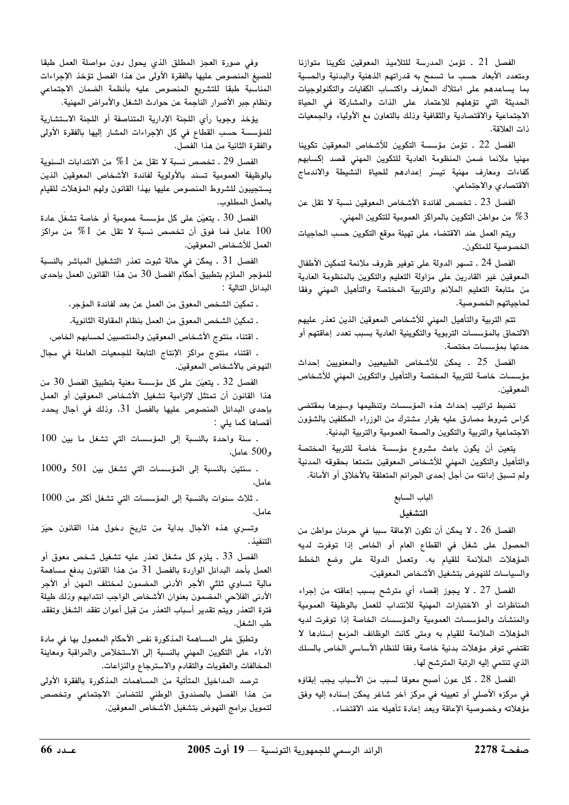الفصل 21 . تؤمن المدرسة للتلاميذ المعوقين تكوينا متوازنا ومتعدد الأبعاد حسب ما تسمح به قدراتهم الذهنية والبدنية والحسية بما يساعدهم على امتلاك المعارف واكتساب الكفايات والتكنولوجيات الحديثة التي تؤهلهم للاعتماد على الذات والمشاركة في الحياة الاجتماعية والاقتصادية والثقافية وذلك بالتعاون مع الأولياء والجمعيات ذات العلاقة.

الفصل 22 . تؤمن مؤسسة التكوين للأشخاص المعوقين تكوينا مهنيا ملائما ضمن المنظومة العادية للتكوين المهنى قصد إكسابهم كفاءات ومعارف مهنية تيسر إعدادهم للحياة النشيطة والاندماج الاقتصادي والاجتماعي.

الفصل 23 ـ تخصص لفائدة الأشخاص المعوقين نسبة لا تقل عن من مواطن التكوين بالمراكز العمومية للتكوين المهنى.  $\%3$ 

ويتم العمل عند الاقتضاء على تهيئة موقع التكوين حسب الحاجيات الخصوصية للمتكون.

الفصل 24 ـ تسهر الدولة على توفير ظروف ملائمة لتمكين الأطفال المعوقين غير القادرين على مزاولة التعليم والتكوين بالمنظومة العادية من متابعة التعليم الملائم والتربية المختصة والتأهيل المهنى وفقا لحاجياتهم الخصوصية.

تتم التربية والتأهيل المهنى للأشخاص المعوقين الذين تعذر عليهم الالتحاق بالمؤسسات التربوية والتكوينية العادية بسبب تعدد إعاقتهم أو حدتها بمؤسسات مختصة.

الفصل 25 . يمكن للأشخاص الطبيعيين والمعنويين إحداث مؤسسات خاصة للتربية المختصة والتأهيل والتكوين المهني للأشخاص المعوقين.

تضبط تراتيب إحداث هذه المؤسسات وتنظيمها وسيرها بمقتضى كراس شروط مصادق عليه بقرار مشترك من الوزراء المكلفين بالشؤون الاجتماعية والتربية والتكوين والصحة العمومية والتربية البدنية.

يتعين أن يكون باعث مشروع مؤسسة خاصة للتربية المختصة والتأهيل والتكوين المهنى للأشخاص المعوقين متمتعا بحقوقه المدنية ولم تسبق إدانته من أجل إحدى الجرائم المتعلقة بالأخلاق أو الأمانة.

## الباب السابع

## التشغيل

الفصل 26 ـ لا يمكن أن تكون الإعاقة سببا في حرمان مواطن من الحصول على شغل في القطاع العام أو الخاص إذا توفرت لديه المؤهلات الملائمة للقيام به. وتعمل الدولة على وضع الخطط والسياسات للنهوض بتشغيل الأشخاص المعوقين،

الفصل 27 . لا يجوز إقصاء أي مترشح بسبب إعاقته من إجراء المناظرات أو الاختبارات المهنية للانتداب للعمل بالوظيفة العمومية والمنشآت والمؤسسات العمومية والمؤسسات الخاصة إذا توفرت لديه المؤهلات الملائمة للقيام به ومتى كانت الوظائف المزمع إسنادها لا تقتضي توفر مؤهلات بدنية خاصة وفقا للنظام الأساسي الخاص بالسلك الذي تنتمي إليه الرتبة المترشح لها.

الفصل 28 ـ كل عون أصبح معوقا لسبب من الأسباب يجب إبقاؤه في مركزه الأصلي أو تعيينه في مركز آخر شاغر يمكن إسناده إليه وفق مؤهلاته وخصوصية الإعاقة وبعد إعادة تأهيله عند الاقتضاء.

وفى صورة العجز المطلق الذي يحول دون مواصلة العمل طبقا للصيغ المنصوص عليها بالفقرة الأولى من هذا الفصل تؤخذ الإجراءات المناسبة طبقا للتشريع المنصوص عليه بأنظمة الضمان الاجتماعى ونظام جبر الأضرار الناجمة عن حوادث الشغل والأمراض المهنية.

يؤخذ وجوبا رأى اللجنة الإدارية المتناصفة أو اللجنة الاستشارية للمؤسسة حسب القطاع في كل الإجراءات المشار إليها بالفقرة الأولى والفقرة الثانية من هذا الفصل.

الفصل 29 . تخصص نسبة لا تقل عن 1 $7$  من الانتدابات السنوية بالوظيفة العمومية تسند بالأولوية لفائدة الأشخاص المعوقين الذين يستجيبون للشروط المنصوص عليها بهذا القانون ولهم المؤهلات للقيام بالعمل المطلوب.

الفصل 30 . يتعيّن على كل مؤسسة عمومية أو خاصة تشغّل عادة عامل فما فوق أن تخصص نسبة لا تقل عن 1 $\%$  من مراكز  $100$ العمل للأشخاص المعوقين.

الفصل 31 . يمكن في حالة ثبوت تعذر التشغيل المباشر بالنسبة للمؤجر الملزم بتطبيق أحكام الفصل 30 من هذا القانون العمل بإحدى البدائل التالية :

ـ تمكين الشخص المعوق من العمل عن بعد لفائدة المؤجر،

. تمكين الشخص المعوق من العمل بنظام المقاولة الثانوية،

. اقتناء منتوج الأشخاص المعوقين والمنتصبين لحسابهم الخاص،

. اقتناء منتوج مراكز الإنتاج التابعة للجمعيات العاملة في مجال النهوض بالأشخاص المعوقين.

الفصل 32 . يتعيّن على كل مؤسسة معنية بتطبيق الفصل 30 من هذا القانون أن تمتثل لإلزامية تشغيل الأشخاص المعوقين أو العمل بإحدى البدائل المنصوص عليها بالفصل 31، وذلك في آجال يحدد أقصاها كما يلي :

. سنة واحدة بالنسبة إلى المؤسسات التي تشغل ما بين 100 و500 عامل،

. سنتين بالنسبة إلى المؤسسات التى تشغل بين 501 و1000 عامل،

. ثلاث سنوات بالنسبة إلى المؤسسات التي تشغل أكثر من 1000 عامل،

وتسرى هذه الأجال بداية من تاريخ دخول هذا القانون حيّز التنفيذ .

الفصل 33 ـ يلزم كل مشغل تعذر عليه تشغيل شخص معوق أو العمل بأحد البدائل الواردة بالفصل 31 من هذا القانون بدفع مساهمة مالية تساوي ثلثي الأجر الأدنى المضمون لمختلف المهن أو الأجر الأدنى الفلاحي المضمون بعنوان الأشخاص الواجب انتدابهم وذلك طيلة فترة التعذر ويتم تقدير أسباب التعذر من قبل أعوان تفقد الشغل وتفقد طب الشغل.

وتطبّق على المساهمة المذكورة نفس الأحكام المعمول بها في مادة الأداء على التكوين المهنى بالنسبة إلى الاستخلاص والمراقبة ومعاينة المخالفات والعقوبات والتقادم والاسترجاع والنزاعات.

ترصد المداخيل المتأتية من المساهمات المذكورة بالفقرة الأولى من هذا الفصل بالصندوق الوطني للتضامن الاجتماعي وتخصص لتمويل برامج النهوض بتشغيل الأشخاص المعوقين.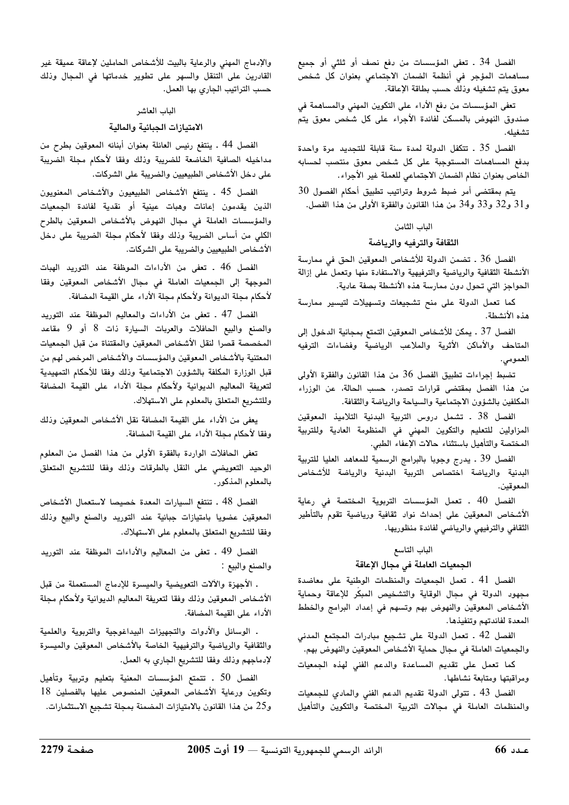الفصل 34 . تعفى المؤسسات من دفع نصف أو ثلثى أو جميع مساهمات المؤجر فى أنظمة الضمان الاجتماعى بعنوان كل شخص معوق يتم تشغيله وذلك حسب بطاقة الإعاقة.

تعفى المؤسسات من دفع الأداء على التكوين المهني والمساهمة في صندوق النهوض بالمسكن لفائدة الأجراء على كل شخص معوق يتم تشغىلە.

الفصل 35 . تتكفل الدولة لمدة سنة قابلة للتجديد مرة واحدة بدفع المساهمات المستوجبة على كل شخص معوق منتصب لحسابه الخاص بعنوان نظام الضمان الاجتماعي للعملة غير الأجراء.

يتم بمقتضى أمر ضبط شروط وتراتيب تطبيق أحكام الفصول 30 و31 و32 و33 و34 من هذا القانون والفقرة الأولى من هذا الفصل.

#### الباب الثامن

#### الثقافة والترفيه والرياضة

الفصل 36 . تضمن الدولة للأشخاص المعوقين الحق في ممارسة الأنشطة الثقافية والرياضية والترفيهية والاستفادة منها وتعمل على إزالة الحواجز التي تحول دون ممارسة هذه الأنشطة بصفة عادية.

كما تعمل الدولة على منح تشجيعات وتسهيلات لتيسير ممارسة هذه الأنشطة.

الفصل 37 . يمكن للأشخاص المعوقين التمتع بمجانية الدخول إلى المتاحف والأماكن الأثرية والملاعب الرياضية وفضاءات الترفيه العمومى.

تضبط إجراءات تطبيق الفصل 36 من هذا القانون والفقرة الأولى من هذا الفصل بمقتضى قرارات تصدر، حسب الحالة، عن الوزراء المكلفين بالشؤون الاجتماعية والسياحة والرياضة والثقافة.

الفصل 38 ـ تشمل دروس التربية البدنية التلاميذ المعوقين المزاولين للتعليم والتكوين المهنى فى المنظومة العادية وللتربية المختصة والتأهيل باستثناء حالات الإعفاء الطبي.

الفصل 39 ـ يدرج وجوبا بالبرامج الرسمية للمعاهد العليا للتربية البدنية والرياضة اختصاص التربية البدنية والرياضة للأشخاص المعوقين.

الفصل 40 . تعمل المؤسسات التربوية المختصة في رعاية الأشخاص المعوقين على إحداث نواد ثقافية ورياضية تقوم بالتأطير الثقافي والترفيهي والرياضي لفائدة منظوريها.

#### الباب التاسع

#### الجمعيات العاملة في مجال الإعاقة

الفصل 41 . تعمل الجمعيات والمنظمات الوطنية على معاضدة مجهود الدولة في مجال الوقاية والتشخيص المبكّر للإعاقة وحماية الأشخاص المعوقين والنهوض بهم وتسهم في إعداد البرامج والخطط المعدة لفائدتهم وتنفيذها.

الفصل 42 . تعمل الدولة على تشجيع مبادرات المجتمع المدنى والجمعيات العاملة في مجال حماية الأشخاص المعوقين والنهوض بهم.

كما تعمل على تقديم المساعدة والدعم الفنى لهذه الجمعيات ومراقبتها ومتابعة نشاطها.

الفصل 43 . تتولى الدولة تقديم الدعم الفنى والمادى للجمعيات والمنظمات العاملة فى مجالات التربية المختصة والتكوين والتأهيل

والإدماج المهنى والرعاية بالبيت للأشخاص الحاملين لإعاقة عميقة غير القادرين على التنقل والسهر على تطوير خدماتها فى المجال وذلك حسب التراتيب الجاري بها العمل.

#### الباب العاشر

#### الامتيازات الجبائية والمالية

الفصل 44 ـ ينتفع رئيس العائلة بعنوان أبنائه المعوقين بطرح من مداخيله الصافية الخاضعة للضريبة وذلك وفقا لأحكام مجلة الضريبة على دخل الأشخاص الطبيعيين والضربية على الشركات.

الفصل 45 . ينتفع الأشخاص الطبيعيون والأشخاص المعنويون الذين يقدمون إعانات وهبات عينية أو نقدية لفائدة الجمعيات والمؤسسات العاملة في مجال النهوض بالأشخاص المعوقين بالطرح الكلي من أساس الضريبة وذلك وفقا لأحكام مجلة الضريبة على دخل الأشخاص الطبيعيين والضريبة على الشركات.

الفصل 46 . تعفى من الأداءات الموظفة عند التوريد الهبات الموجهة إلى الجمعيات العاملة في مجال الأشخاص المعوقين وفقا لأحكام مجلة الديوانة ولأحكام مجلة الأداء على القيمة المضافة.

الفصل 47 ـ تعفى من الأداءات والمعاليم الموظفة عند التوريد والصنع والبيع الحافلات والعربات السيارة ذات 8 أو 9 مقاعد المخصصة قصرا لنقل الأشخاص المعوقين والمقتناة من قبل الجمعيات المعتنية بالأشخاص المعوقين والمؤسسات والأشخاص المرخص لهم من قبل الوزارة المكلفة بالشؤون الاجتماعية وذلك وفقا للأحكام التمهيدية لتعريفة المعاليم الديوانية ولأحكام مجلة الأداء على القيمة المضافة وللتشريع المتعلق بالمعلوم على الاستهلاك.

يعفى من الأداء على القيمة المضافة نقل الأشخاص المعوقين وذلك وفقا لأحكام مجلة الأداء على القيمة المضافة.

تعفى الحافلات الواردة بالفقرة الأولى من هذا الفصل من المعلوم الوحيد التعويضى على النقل بالطرقات وذلك وفقا للتشريع المتعلق بالمعلوم المذكور.

الفصل 48 . تنتفع السيارات المعدة خصيصا لاستعمال الأشخاص المعوقين عضويا بامتيازات جبائية عند التوريد والصنع والبيع وذلك وفقا للتشريع المتعلق بالمعلوم على الاستهلاك.

الفصل 49 . تعفى من المعاليم والأداءات الموظفة عند التوريد والصنع والبيع :

. الأجهزة والآلات التعويضية والميسرة للإدماج المستعملة من قبل الأشخاص المعوقين وذلك وفقا لتعريفة المعاليم الديوانية ولأحكام مجلة الأداء على القيمة المضافة.

. الوسائل والأدوات والتجهيزات البيداغوجية والتربوية والعلمية والثقافية والرياضية والترفيهية الخاصة بالأشخاص المعوقين والميسرة لإدماجهم وذلك وفقا للتشريع الجاري به العمل.

الفصل 50 . تتمتع المؤسسات المعنية بتعليم وتربية وتأهيل وتكوين ورعاية الأشخاص المعوقين المنصوص عليها بالفصلين 18 و25 من هذا القانون بالامتيازات المضمنة بمجلة تشجيع الاستثمارات.